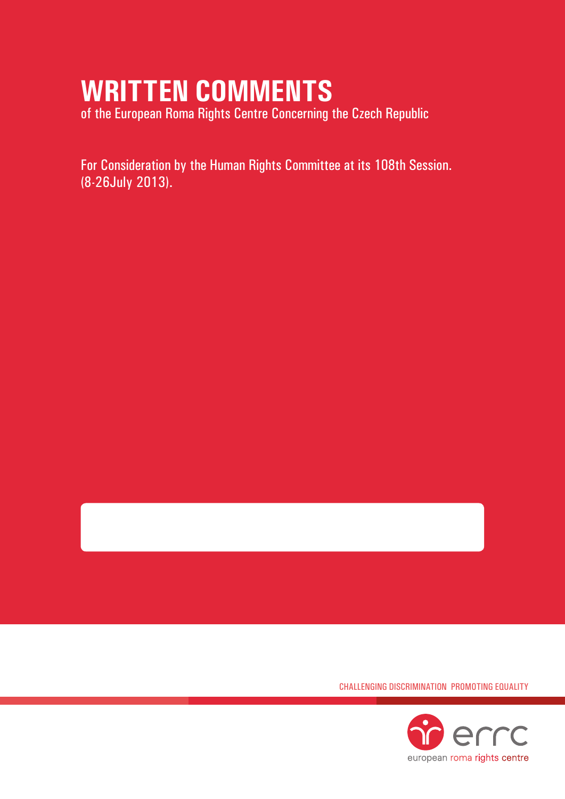# **WRITTEN COMMENTS**

of the European Roma Rights Centre Concerning the Czech Republic

For Consideration by the Human Rights Committee at its 108th Session. (8-26July 2013).

Challenging Discrimination Promoting Equality

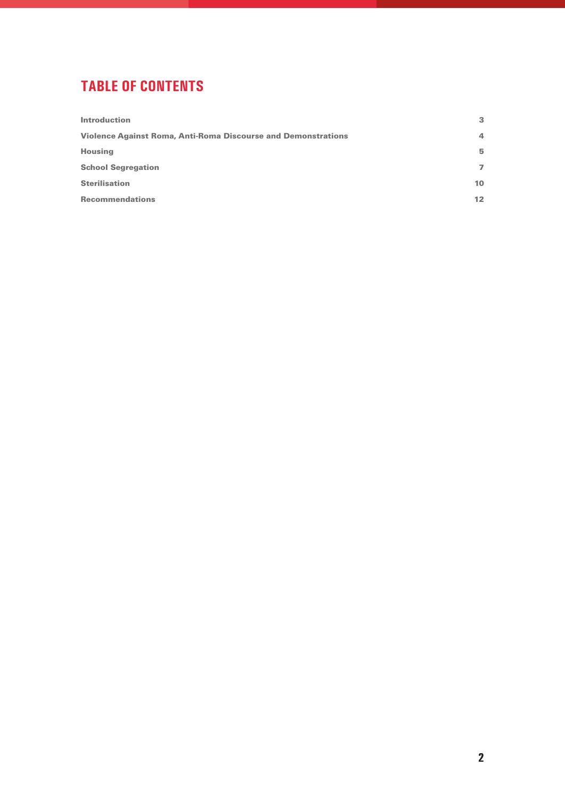## **tablE of contents**

| <b>Introduction</b>                                                  | 3               |
|----------------------------------------------------------------------|-----------------|
| <b>Violence Against Roma, Anti-Roma Discourse and Demonstrations</b> | $\overline{a}$  |
| <b>Housing</b>                                                       | 5               |
| <b>School Segregation</b>                                            | $\overline{ }$  |
| <b>Sterilisation</b>                                                 | 10              |
| <b>Recommendations</b>                                               | 12 <sub>1</sub> |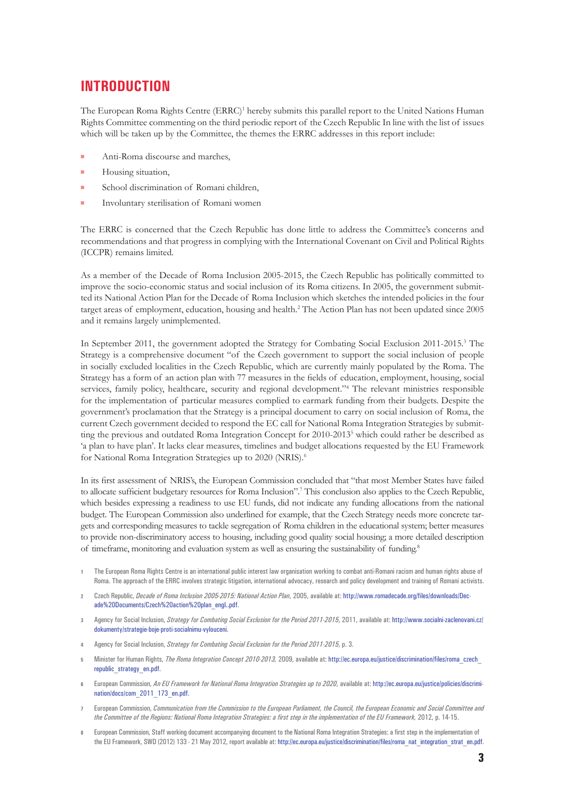## **INTRODUCTION**

The European Roma Rights Centre (ERRC)<sup>1</sup> hereby submits this parallel report to the United Nations Human Rights Committee commenting on the third periodic report of the Czech Republic In line with the list of issues which will be taken up by the Committee, the themes the ERRC addresses in this report include:

- Anti-Roma discourse and marches,
- $\blacksquare$  Housing situation,
- School discrimination of Romani children,
- Involuntary sterilisation of Romani women

The ERRC is concerned that the Czech Republic has done little to address the Committee's concerns and recommendations and that progress in complying with the International Covenant on Civil and Political Rights (ICCPR) remains limited.

As a member of the Decade of Roma Inclusion 2005-2015, the Czech Republic has politically committed to improve the socio-economic status and social inclusion of its Roma citizens. In 2005, the government submitted its National Action Plan for the Decade of Roma Inclusion which sketches the intended policies in the four target areas of employment, education, housing and health.2 The Action Plan has not been updated since 2005 and it remains largely unimplemented.

In September 2011, the government adopted the Strategy for Combating Social Exclusion 2011-2015.<sup>3</sup> The Strategy is a comprehensive document "of the Czech government to support the social inclusion of people in socially excluded localities in the Czech Republic, which are currently mainly populated by the Roma. The Strategy has a form of an action plan with 77 measures in the fields of education, employment, housing, social services, family policy, healthcare, security and regional development."<sup>4</sup> The relevant ministries responsible for the implementation of particular measures complied to earmark funding from their budgets. Despite the government's proclamation that the Strategy is a principal document to carry on social inclusion of Roma, the current Czech government decided to respond the EC call for National Roma Integration Strategies by submitting the previous and outdated Roma Integration Concept for 2010-2013<sup>5</sup> which could rather be described as 'a plan to have plan'. It lacks clear measures, timelines and budget allocations requested by the EU Framework for National Roma Integration Strategies up to 2020 (NRIS).<sup>6</sup>

In its first assessment of NRIS's, the European Commission concluded that "that most Member States have failed to allocate sufficient budgetary resources for Roma Inclusion".<sup>7</sup> This conclusion also applies to the Czech Republic, which besides expressing a readiness to use EU funds, did not indicate any funding allocations from the national budget. The European Commission also underlined for example, that the Czech Strategy needs more concrete targets and corresponding measures to tackle segregation of Roma children in the educational system; better measures to provide non-discriminatory access to housing, including good quality social housing; a more detailed description of timeframe, monitoring and evaluation system as well as ensuring the sustainability of funding.8

- **1** The European Roma Rights Centre is an international public interest law organisation working to combat anti-Romani racism and human rights abuse of Roma. The approach of the ERRC involves strategic litigation, international advocacy, research and policy development and training of Romani activists.
- **2** Czech Republic, *Decade of Roma Inclusion 2005-2015: National Action Plan*, 2005, available at: [http://www.romadecade.org/files/downloads/Dec](http://www.romadecade.org/files/downloads/Decade Documents/Czech action plan_engl..pdf)[ade%20Documents/Czech%20action%20plan\\_engl..pdf](http://www.romadecade.org/files/downloads/Decade Documents/Czech action plan_engl..pdf).
- **3** Agency for Social Inclusion, *Strategy for Combating Social Exclusion for the Period 2011-2015*, 2011, available at: [http://www.socialni-zaclenovani.cz/](http://www.socialni-zaclenovani.cz/dokumenty/strategie-boje-proti-socialnimu-vylouceni) [dokumenty/strategie-boje-proti-socialnimu-vylouceni](http://www.socialni-zaclenovani.cz/dokumenty/strategie-boje-proti-socialnimu-vylouceni).
- **4** Agency for Social Inclusion, *Strategy for Combating Social Exclusion for the Period 2011-2015*, p. 3.
- **5** Minister for Human Rights, *The Roma Integration Concept 2010-2013,* 2009, available at: [http://ec.europa.eu/justice/discrimination/files/roma\\_czech\\_](http://ec.europa.eu/justice/discrimination/files/roma_czech_republic_strategy_en.pdf) republic strategy en.pdf.
- **6** European Commission, *An EU Framework for National Roma Integration Strategies up to 2020*, available at: [http://ec.europa.eu/justice/policies/discrimi](http://ec.europa.eu/justice/policies/discrimination/docs/com_2011_173_en.pdf)[nation/docs/com\\_2011\\_173\\_en.pdf](http://ec.europa.eu/justice/policies/discrimination/docs/com_2011_173_en.pdf).
- **7** European Commission, *Communication from the Commission to the European Parliament, the Council, the European Economic and Social Committee and*  the Committee of the Regions: National Roma Integration Strategies: a first step in the implementation of the EU Framework, 2012, p. 14-15.
- **8** European Commission, Staff working document accompanying document to the National Roma Integration Strategies: a first step in the implementation of the EU Framework, SWD (2012) 133 - 21 May 2012, report available at: [http://ec.europa.eu/justice/discrimination/files/roma\\_nat\\_integration\\_strat\\_en.pdf](http://ec.europa.eu/justice/discrimination/files/roma_nat_integration_strat_en.pdf).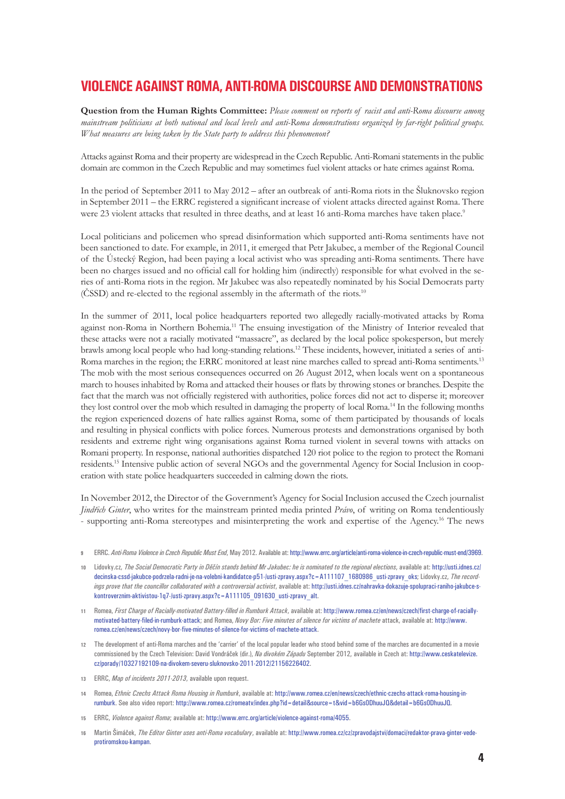## **VIOLENCEAGAINST ROMA, ANTI-ROMA DISCOURSEAND DEMONSTRATIONS**

**Question from the Human Rights Committee:** *Please comment on reports of racist and anti-Roma discourse among mainstream politicians at both national and local levels and anti-Roma demonstrations organized by far-right political groups. What measures are being taken by the State party to address this phenomenon?*

Attacks against Roma and their property are widespread in the Czech Republic. Anti-Romani statements in the public domain are common in the Czech Republic and may sometimes fuel violent attacks or hate crimes against Roma.

In the period of September 2011 to May 2012 – after an outbreak of anti-Roma riots in the Šluknovsko region in September 2011 – the ERRC registered a significant increase of violent attacks directed against Roma. There were 23 violent attacks that resulted in three deaths, and at least 16 anti-Roma marches have taken place.<sup>9</sup>

Local politicians and policemen who spread disinformation which supported anti-Roma sentiments have not been sanctioned to date. For example, in 2011, it emerged that Petr Jakubec, a member of the Regional Council of the Ústecký Region, had been paying a local activist who was spreading anti-Roma sentiments. There have been no charges issued and no official call for holding him (indirectly) responsible for what evolved in the series of anti-Roma riots in the region. Mr Jakubec was also repeatedly nominated by his Social Democrats party  $(ČSSD)$  and re-elected to the regional assembly in the aftermath of the riots.<sup>10</sup>

In the summer of 2011, local police headquarters reported two allegedly racially-motivated attacks by Roma against non-Roma in Northern Bohemia.11 The ensuing investigation of the Ministry of Interior revealed that these attacks were not a racially motivated "massacre", as declared by the local police spokesperson, but merely brawls among local people who had long-standing relations.12 These incidents, however, initiated a series of anti-Roma marches in the region; the ERRC monitored at least nine marches called to spread anti-Roma sentiments.<sup>13</sup> The mob with the most serious consequences occurred on 26 August 2012, when locals went on a spontaneous march to houses inhabited by Roma and attacked their houses or flats by throwing stones or branches. Despite the fact that the march was not officially registered with authorities, police forces did not act to disperse it; moreover they lost control over the mob which resulted in damaging the property of local Roma.14 In the following months the region experienced dozens of hate rallies against Roma, some of them participated by thousands of locals and resulting in physical conflicts with police forces. Numerous protests and demonstrations organised by both residents and extreme right wing organisations against Roma turned violent in several towns with attacks on Romani property. In response, national authorities dispatched 120 riot police to the region to protect the Romani residents.15 Intensive public action of several NGOs and the governmental Agency for Social Inclusion in cooperation with state police headquarters succeeded in calming down the riots.

In November 2012, the Director of the Government's Agency for Social Inclusion accused the Czech journalist *Jindřich Ginter*, who writes for the mainstream printed media printed *Právo*, of writing on Roma tendentiously - supporting anti-Roma stereotypes and misinterpreting the work and expertise of the Agency.16 The news

- **9** ERRC. *Anti-Roma Violence in Czech Republic Must End*, May 2012. Available at: <http://www.errc.org/article/anti-roma-violence-in-czech-republic-must-end/3969>.
- **10** Lidovky.cz, *The Social Democratic Party in Děčín stands behind Mr Jakubec: he is nominated to the regional elections*, available at: [http://usti.idnes.cz/](http://usti.idnes.cz/decinska-cssd-jakubce-podrzela-radni-je-na-volebni-kandidatce-p51-/usti-zpravy.aspx?c=A111107_1680986_usti-zpravy_oks) [decinska-cssd-jakubce-podrzela-radni-je-na-volebni-kandidatce-p51-/usti-zpravy.aspx?c=A111107\\_1680986\\_usti-zpravy\\_oks;](http://usti.idnes.cz/decinska-cssd-jakubce-podrzela-radni-je-na-volebni-kandidatce-p51-/usti-zpravy.aspx?c=A111107_1680986_usti-zpravy_oks) Lidovky.cz, The record*ings prove that the councillor collaborated with a controversial activist*, available at: [http://usti.idnes.cz/nahravka-dokazuje-spolupraci-raniho-jakubce-s](http://usti.idnes.cz/nahravka-dokazuje-spolupraci-raniho-jakubce-s-kontroverznim-aktivistou-1q7-/usti-zpravy.aspx?c=A111105_091630_usti-zpravy_alt)[kontroverznim-aktivistou-1q7-/usti-zpravy.aspx?c=A111105\\_091630\\_usti-zpravy\\_alt](http://usti.idnes.cz/nahravka-dokazuje-spolupraci-raniho-jakubce-s-kontroverznim-aktivistou-1q7-/usti-zpravy.aspx?c=A111105_091630_usti-zpravy_alt).
- **11** Romea, *First Charge of Racially-motivated Battery-filled in Rumburk Attack*, available at: [http://www.romea.cz/en/news/czech/first-charge-of-racially](http://www.romea.cz/en/news/czech/first-charge-of-racially-motivated-battery-filed-in-rumburk-attack)[motivated-battery-filed-in-rumburk-attack](http://www.romea.cz/en/news/czech/first-charge-of-racially-motivated-battery-filed-in-rumburk-attack); and Romea, *Novy Bor: Five minutes of silence for victims of machete* attack, available at: [http://www.](http://www.romea.cz/en/news/czech/novy-bor-five-minutes-of-silence-for-victims-of-machete-attack) [romea.cz/en/news/czech/novy-bor-five-minutes-of-silence-for-victims-of-machete-attack](http://www.romea.cz/en/news/czech/novy-bor-five-minutes-of-silence-for-victims-of-machete-attack).
- **12** The development of anti-Roma marches and the 'carrier' of the local popular leader who stood behind some of the marches are documented in a movie commissioned by the Czech Television: David Vondráček (dir.), *Na divokém Západu* September 2012, available in Czech at: [http://www.ceskatelevize.](http://www.ceskatelevize.cz/porady/10327192109-na-divokem-severu-sluknovsko-2011-2012/21156226402/) [cz/porady/10327192109-na-divokem-severu-sluknovsko-2011-2012/21156226402.](http://www.ceskatelevize.cz/porady/10327192109-na-divokem-severu-sluknovsko-2011-2012/21156226402/)
- **13** ERRC, *Map of incidents 2011-2013*, available upon request.
- **14** Romea, *Ethnic Czechs Attack Roma Housing in Rumburk*, available at: [http://www.romea.cz/en/news/czech/ethnic-czechs-attack-roma-housing-in](http://www.romea.cz/en/news/czech/ethnic-czechs-attack-roma-housing-in-rumburk)[rumburk](http://www.romea.cz/en/news/czech/ethnic-czechs-attack-roma-housing-in-rumburk). See also video report: [http://www.romea.cz/romeatv/index.php?id=detail&source=t&vid=b6Gs0DhuuJQ&detail=b6Gs0DhuuJQ.](http://www.romea.cz/romeatv/index.php?id=detail&source=t&vid=b6Gs0DhuuJQ&detail=b6Gs0DhuuJQ)
- **15** ERRC, *Violence against Roma*; available at: [http://www.errc.org/article/violence-against-roma/4055.](http://www.errc.org/article/violence-against-roma/4055)
- **16** Martin Šimáček, *The Editor Ginter uses anti-Roma vocabulary*, available at: [http://www.romea.cz/cz/zpravodajstvi/domaci/redaktor-prava-ginter-vede](http://www.romea.cz/cz/zpravodajstvi/domaci/redaktor-prava-ginter-vede-protiromskou-kampan)[protiromskou-kampan.](http://www.romea.cz/cz/zpravodajstvi/domaci/redaktor-prava-ginter-vede-protiromskou-kampan)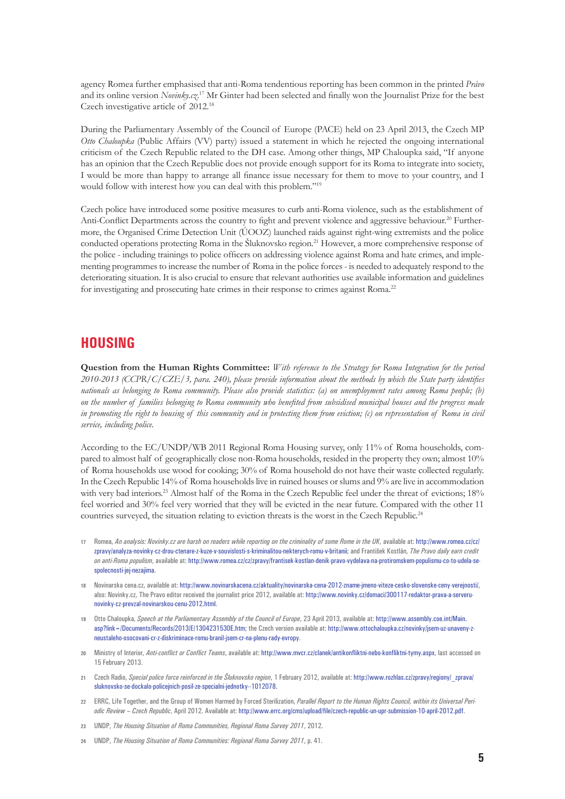agency Romea further emphasised that anti-Roma tendentious reporting has been common in the printed *Právo*  and its online version *Novinky.cz*. 17 Mr Ginter had been selected and finally won the Journalist Prize for the best Czech investigative article of 2012.18

During the Parliamentary Assembly of the Council of Europe (PACE) held on 23 April 2013, the Czech MP *Otto Chaloupka* (Public Affairs (VV) party) issued a statement in which he rejected the ongoing international criticism of the Czech Republic related to the DH case. Among other things, MP Chaloupka said, "If anyone has an opinion that the Czech Republic does not provide enough support for its Roma to integrate into society, I would be more than happy to arrange all finance issue necessary for them to move to your country, and I would follow with interest how you can deal with this problem."19

Czech police have introduced some positive measures to curb anti-Roma violence, such as the establishment of Anti-Conflict Departments across the country to fight and prevent violence and aggressive behaviour.<sup>20</sup> Furthermore, the Organised Crime Detection Unit (ÚOOZ) launched raids against right-wing extremists and the police conducted operations protecting Roma in the Šluknovsko region.<sup>21</sup> However, a more comprehensive response of the police - including trainings to police officers on addressing violence against Roma and hate crimes, and implementing programmes to increase the number of Roma in the police forces - is needed to adequately respond to the deteriorating situation. It is also crucial to ensure that relevant authorities use available information and guidelines for investigating and prosecuting hate crimes in their response to crimes against Roma.<sup>22</sup>

#### **HOUSING**

**Question from the Human Rights Committee:** *With reference to the Strategy for Roma Integration for the period 2010-2013 (CCPR/C/CZE/3, para. 240), please provide information about the methods by which the State party identifies nationals as belonging to Roma community. Please also provide statistics: (a) on unemployment rates among Roma people; (b) on the number of families belonging to Roma community who benefited from subsidised municipal houses and the progress made in promoting the right to housing of this community and in protecting them from eviction; (c) on representation of Roma in civil service, including police.*

According to the EC/UNDP/WB 2011 Regional Roma Housing survey, only 11% of Roma households, compared to almost half of geographically close non-Roma households, resided in the property they own; almost 10% of Roma households use wood for cooking; 30% of Roma household do not have their waste collected regularly. In the Czech Republic 14% of Roma households live in ruined houses or slums and 9% are live in accommodation with very bad interiors.<sup>23</sup> Almost half of the Roma in the Czech Republic feel under the threat of evictions; 18% feel worried and 30% feel very worried that they will be evicted in the near future. Compared with the other 11 countries surveyed, the situation relating to eviction threats is the worst in the Czech Republic.<sup>24</sup>

- **17** Romea, *An analysis: Novinky.cz are harsh on readers while reporting on the criminality of some Rome in the UK*, available at: [http://www.romea.cz/cz/](http://www.romea.cz/cz/zpravy/analyza-novinky-cz-drou-ctenare-z-kuze-v-souvislosti-s-kriminalitou-nekterych-romu-v-britanii) [zpravy/analyza-novinky-cz-drou-ctenare-z-kuze-v-souvislosti-s-kriminalitou-nekterych-romu-v-britanii;](http://www.romea.cz/cz/zpravy/analyza-novinky-cz-drou-ctenare-z-kuze-v-souvislosti-s-kriminalitou-nekterych-romu-v-britanii) and František Kostlán, *The Pravo daily earn credit on anti-Roma populism*, available at: [http://www.romea.cz/cz/zpravy/frantisek-kostlan-denik-pravo-vydelava-na-protiromskem-populismu-co-to-udela-se](http://www.romea.cz/cz/zpravy/frantisek-kostlan-denik-pravo-vydelava-na-protiromskem-populismu-co-to-udela-se-spolecnosti-jej-nezajima)[spolecnosti-jej-nezajima.](http://www.romea.cz/cz/zpravy/frantisek-kostlan-denik-pravo-vydelava-na-protiromskem-populismu-co-to-udela-se-spolecnosti-jej-nezajima)
- **18** Novinarska cena.cz, available at:<http://www.novinarskacena.cz/aktuality/novinarska-cena-2012-zname-jmeno-viteze-cesko-slovenske-ceny-verejnosti/>, also: Novinky.cz, The Pravo editor received the journalist price 2012, available at: [http://www.novinky.cz/domaci/300117-redaktor-prava-a-serveru](http://www.novinky.cz/domaci/300117-redaktor-prava-a-serveru-novinky-cz-prevzal-novinarskou-cenu-2012.html)[novinky-cz-prevzal-novinarskou-cenu-2012.html](http://www.novinky.cz/domaci/300117-redaktor-prava-a-serveru-novinky-cz-prevzal-novinarskou-cenu-2012.html).
- **19** Otto Chaloupka, *Speech at the Parliamentary Assembly of the Council of Europe*, 23 April 2013, available at: [http://www.assembly.coe.int/Main.](http://www.assembly.coe.int/Main.asp?link=/Documents/Records/2013/E/1304231530E.htm) [asp?link=/Documents/Records/2013/E/1304231530E.htm](http://www.assembly.coe.int/Main.asp?link=/Documents/Records/2013/E/1304231530E.htm); the Czech version available at: [http://www.ottochaloupka.cz/novinky/jsem-uz-unaveny-z](http://www.ottochaloupka.cz/novinky/jsem-uz-unaveny-z-neustaleho-osocovani-cr-z-diskriminace-romu-branil-jsem-cr-na-plenu-rady-evropy)[neustaleho-osocovani-cr-z-diskriminace-romu-branil-jsem-cr-na-plenu-rady-evropy](http://www.ottochaloupka.cz/novinky/jsem-uz-unaveny-z-neustaleho-osocovani-cr-z-diskriminace-romu-branil-jsem-cr-na-plenu-rady-evropy).
- **20** Ministry of Interior, *Anti-conflict or Conflict Teams*, available at:<http://www.mvcr.cz/clanek/antikonfliktni-nebo-konfliktni-tymy.aspx>, last accessed on 15 February 2013.
- **21** Czech Radio, *Special police force reinforced in the Šluknovsko region*, 1 February 2012, available at: http://www.rozhlas.cz/zpravy/regiony/\_zprava/ sluknovsko-se-dockalo-policejnich-posil-ze-specialni-jednotky--1012078.
- **22** ERRC, Life Together, and the Group of Women Harmed by Forced Sterilization, *Parallel Report to the Human Rights Council, within its Universal Periodic Review – Czech Republic*, April 2012. Available at:<http://www.errc.org/cms/upload/file/czech-republic-un-upr-submission-10-april-2012.pdf>.
- **23** UNDP, *The Housing Situation of Roma Communities, Regional Roma Survey 2011*, 2012.
- **24** UNDP, *The Housing Situation of Roma Communities: Regional Roma Survey 2011*, p. 41.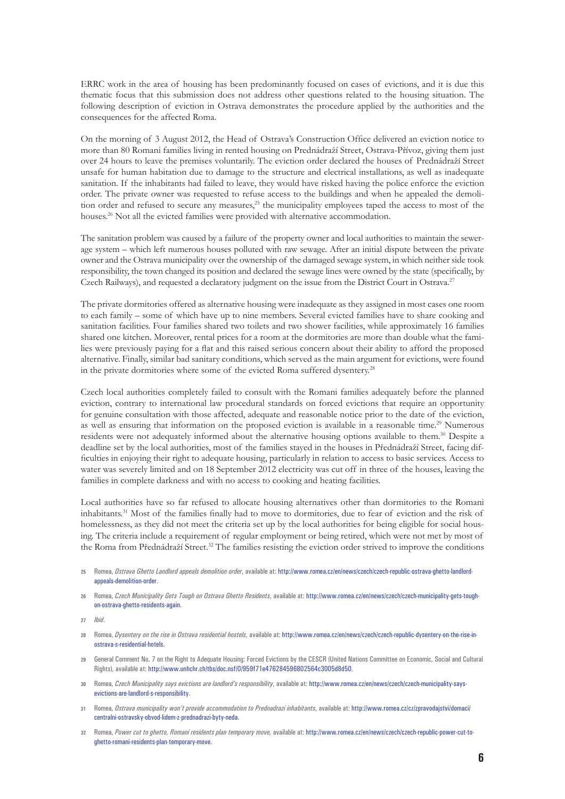ERRC work in the area of housing has been predominantly focused on cases of evictions, and it is due this thematic focus that this submission does not address other questions related to the housing situation. The following description of eviction in Ostrava demonstrates the procedure applied by the authorities and the consequences for the affected Roma.

On the morning of 3 August 2012, the Head of Ostrava's Construction Office delivered an eviction notice to more than 80 Romani families living in rented housing on Prednádraží Street, Ostrava-Přívoz, giving them just over 24 hours to leave the premises voluntarily. The eviction order declared the houses of Prednádraží Street unsafe for human habitation due to damage to the structure and electrical installations, as well as inadequate sanitation. If the inhabitants had failed to leave, they would have risked having the police enforce the eviction order. The private owner was requested to refuse access to the buildings and when he appealed the demolition order and refused to secure any measures.<sup>25</sup> the municipality employees taped the access to most of the houses.<sup>26</sup> Not all the evicted families were provided with alternative accommodation.

The sanitation problem was caused by a failure of the property owner and local authorities to maintain the sewerage system – which left numerous houses polluted with raw sewage. After an initial dispute between the private owner and the Ostrava municipality over the ownership of the damaged sewage system, in which neither side took responsibility, the town changed its position and declared the sewage lines were owned by the state (specifically, by Czech Railways), and requested a declaratory judgment on the issue from the District Court in Ostrava.<sup>27</sup>

The private dormitories offered as alternative housing were inadequate as they assigned in most cases one room to each family – some of which have up to nine members. Several evicted families have to share cooking and sanitation facilities. Four families shared two toilets and two shower facilities, while approximately 16 families shared one kitchen. Moreover, rental prices for a room at the dormitories are more than double what the families were previously paying for a flat and this raised serious concern about their ability to afford the proposed alternative. Finally, similar bad sanitary conditions, which served as the main argument for evictions, were found in the private dormitories where some of the evicted Roma suffered dysentery.<sup>28</sup>

Czech local authorities completely failed to consult with the Romani families adequately before the planned eviction, contrary to international law procedural standards on forced evictions that require an opportunity for genuine consultation with those affected, adequate and reasonable notice prior to the date of the eviction, as well as ensuring that information on the proposed eviction is available in a reasonable time.<sup>29</sup> Numerous residents were not adequately informed about the alternative housing options available to them.30 Despite a deadline set by the local authorities, most of the families stayed in the houses in Přednádraží Street, facing difficulties in enjoying their right to adequate housing, particularly in relation to access to basic services. Access to water was severely limited and on 18 September 2012 electricity was cut off in three of the houses, leaving the families in complete darkness and with no access to cooking and heating facilities.

Local authorities have so far refused to allocate housing alternatives other than dormitories to the Romani inhabitants.31 Most of the families finally had to move to dormitories, due to fear of eviction and the risk of homelessness, as they did not meet the criteria set up by the local authorities for being eligible for social housing. The criteria include a requirement of regular employment or being retired, which were not met by most of the Roma from Přednádraží Street.<sup>32</sup> The families resisting the eviction order strived to improve the conditions

- **25** Romea, *Ostrava Ghetto Landlord appeals demolition order*, available at: [http://www.romea.cz/en/news/czech/czech-republic-ostrava-ghetto-landlord](http://www.romea.cz/en/news/czech/czech-republic-ostrava-ghetto-landlord-appeals-demolition-order)[appeals-demolition-order](http://www.romea.cz/en/news/czech/czech-republic-ostrava-ghetto-landlord-appeals-demolition-order).
- **26** Romea, *Czech Municipality Gets Tough on Ostrava Ghetto Residents*, available at: [http://www.romea.cz/en/news/czech/czech-municipality-gets-tough](http://www.romea.cz/en/news/czech/czech-municipality-gets-tough-on-ostrava-ghetto-residents-again)[on-ostrava-ghetto-residents-again.](http://www.romea.cz/en/news/czech/czech-municipality-gets-tough-on-ostrava-ghetto-residents-again)
- **27** *Ibid*.
- **28** Romea, *Dysentery on the rise in Ostrava residential hostels*, available at: [http://www.romea.cz/en/news/czech/czech-republic-dysentery-on-the-rise-in](http://www.romea.cz/en/news/czech/czech-republic-dysentery-on-the-rise-in-ostrava-s-residential-hotels)[ostrava-s-residential-hotels](http://www.romea.cz/en/news/czech/czech-republic-dysentery-on-the-rise-in-ostrava-s-residential-hotels).
- **29** General Comment No. 7 on the Right to Adequate Housing: Forced Evictions by the CESCR (United Nations Committee on Economic, Social and Cultural Rights), available at:<http://www.unhchr.ch/tbs/doc.nsf/0/959f71e476284596802564c3005d8d50>.
- **30** Romea, *Czech Municipality says evictions are landlord's responsibility*, available at: [http://www.romea.cz/en/news/czech/czech-municipality-says](http://www.romea.cz/en/news/czech/czech-municipality-says-evictions-are-landlord-s-responsibility)[evictions-are-landlord-s-responsibility.](http://www.romea.cz/en/news/czech/czech-municipality-says-evictions-are-landlord-s-responsibility)
- **31** Romea, *Ostrava municipality won't provide accommodation to Prednadrazi inhabitants*, available at: [http://www.romea.cz/cz/zpravodajstvi/domaci/](http://www.romea.cz/cz/zpravodajstvi/domaci/centralni-ostravsky-obvod-lidem-z-prednadrazi-byty-neda) [centralni-ostravsky-obvod-lidem-z-prednadrazi-byty-neda.](http://www.romea.cz/cz/zpravodajstvi/domaci/centralni-ostravsky-obvod-lidem-z-prednadrazi-byty-neda)
- **32** Romea, *Power cut to ghetto, Romani residents plan temporary move,* available at: [http://www.romea.cz/en/news/czech/czech-republic-power-cut-to](http://www.romea.cz/en/news/czech/czech-republic-power-cut-to-ghetto-romani-residents-plan-temporary-move)[ghetto-romani-residents-plan-temporary-move.](http://www.romea.cz/en/news/czech/czech-republic-power-cut-to-ghetto-romani-residents-plan-temporary-move)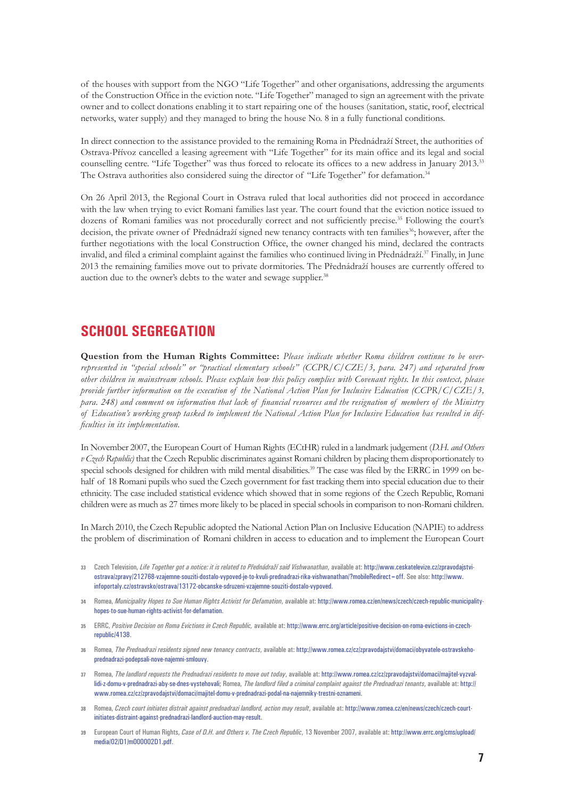of the houses with support from the NGO "Life Together" and other organisations, addressing the arguments of the Construction Office in the eviction note. "Life Together" managed to sign an agreement with the private owner and to collect donations enabling it to start repairing one of the houses (sanitation, static, roof, electrical networks, water supply) and they managed to bring the house No. 8 in a fully functional conditions.

In direct connection to the assistance provided to the remaining Roma in Přednádraží Street, the authorities of Ostrava-Přívoz cancelled a leasing agreement with "Life Together" for its main office and its legal and social counselling centre. "Life Together" was thus forced to relocate its offices to a new address in January 2013.33 The Ostrava authorities also considered suing the director of "Life Together" for defamation.34

On 26 April 2013, the Regional Court in Ostrava ruled that local authorities did not proceed in accordance with the law when trying to evict Romani families last year. The court found that the eviction notice issued to dozens of Romani families was not procedurally correct and not sufficiently precise.35 Following the court's decision, the private owner of Přednádraží signed new tenancy contracts with ten families<sup>36</sup>; however, after the further negotiations with the local Construction Office, the owner changed his mind, declared the contracts invalid, and filed a criminal complaint against the families who continued living in Přednádraží.37 Finally, in June 2013 the remaining families move out to private dormitories. The Přednádraží houses are currently offered to auction due to the owner's debts to the water and sewage supplier.<sup>38</sup>

#### **SCHOOL SEGREGATION**

**Question from the Human Rights Committee:** *Please indicate whether Roma children continue to be overrepresented in "special schools" or "practical elementary schools" (CCPR/C/CZE/3, para. 247) and separated from other children in mainstream schools. Please explain how this policy complies with Covenant rights. In this context, please provide further information on the execution of the National Action Plan for Inclusive Education (CCPR/C/CZE/3, para. 248) and comment on information that lack of financial resources and the resignation of members of the Ministry of Education's working group tasked to implement the National Action Plan for Inclusive Education has resulted in difficulties in its implementation.*

In November 2007, the European Court of Human Rights (ECtHR) ruled in a landmark judgement (*D.H. and Others v Czech Republic)* that the Czech Republic discriminates against Romani children by placing them disproportionately to special schools designed for children with mild mental disabilities.<sup>39</sup> The case was filed by the ERRC in 1999 on behalf of 18 Romani pupils who sued the Czech government for fast tracking them into special education due to their ethnicity. The case included statistical evidence which showed that in some regions of the Czech Republic, Romani children were as much as 27 times more likely to be placed in special schools in comparison to non-Romani children.

In March 2010, the Czech Republic adopted the National Action Plan on Inclusive Education (NAPIE) to address the problem of discrimination of Romani children in access to education and to implement the European Court

- **33** Czech Television, *Life Together got a notice: it is related to Přednádraží said Vishwanathan*, available at: [http://www.ceskatelevize.cz/zpravodajstvi](http://www.ceskatelevize.cz/zpravodajstvi-ostrava/zpravy/212768-vzajemne-souziti-dostalo-vypoved-je-to-kvuli-prednadrazi-rika-vishwanathan/?mobileRedirect=off)[ostrava/zpravy/212768-vzajemne-souziti-dostalo-vypoved-je-to-kvuli-prednadrazi-rika-vishwanathan/?mobileRedirect=off](http://www.ceskatelevize.cz/zpravodajstvi-ostrava/zpravy/212768-vzajemne-souziti-dostalo-vypoved-je-to-kvuli-prednadrazi-rika-vishwanathan/?mobileRedirect=off). See also: [http://www.](http://www.infoportaly.cz/ostravsko/ostrava/13172-obcanske-sdruzeni-vzajemne-souziti-dostalo-vypoved) [infoportaly.cz/ostravsko/ostrava/13172-obcanske-sdruzeni-vzajemne-souziti-dostalo-vypoved](http://www.infoportaly.cz/ostravsko/ostrava/13172-obcanske-sdruzeni-vzajemne-souziti-dostalo-vypoved).
- **34** Romea, *Municipality Hopes to Sue Human Rights Activist for Defamation*, available at: [http://www.romea.cz/en/news/czech/czech-republic-municipality](http://www.romea.cz/en/news/czech/czech-republic-municipality-hopes-to-sue-human-rights-activist-for-defamation)[hopes-to-sue-human-rights-activist-for-defamation.](http://www.romea.cz/en/news/czech/czech-republic-municipality-hopes-to-sue-human-rights-activist-for-defamation)
- **35** ERRC, *Positive Decision on Roma Evictions in Czech Republic,* available at: [http://www.errc.org/article/positive-decision-on-roma-evictions-in-czech](http://www.errc.org/article/positive-decision-on-roma-evictions-in-czech-republic/4138)[republic/4138.](http://www.errc.org/article/positive-decision-on-roma-evictions-in-czech-republic/4138)
- **36** Romea, *The Prednadrazi residents signed new tenancy contracts*, available at: [http://www.romea.cz/cz/zpravodajstvi/domaci/obyvatele-ostravskeho](http://www.romea.cz/cz/zpravodajstvi/domaci/obyvatele-ostravskeho-prednadrazi-podepsali-nove-najemni-smlouvy)[prednadrazi-podepsali-nove-najemni-smlouvy](http://www.romea.cz/cz/zpravodajstvi/domaci/obyvatele-ostravskeho-prednadrazi-podepsali-nove-najemni-smlouvy).
- **37** Romea, *The landlord requests the Prednadrazi residents to move out today*, available at: [http://www.romea.cz/cz/zpravodajstvi/domaci/majitel-vyzval](http://www.romea.cz/cz/zpravodajstvi/domaci/majitel-vyzval-lidi-z-domu-v-prednadrazi-aby-se-dnes-vystehovali)[lidi-z-domu-v-prednadrazi-aby-se-dnes-vystehovali](http://www.romea.cz/cz/zpravodajstvi/domaci/majitel-vyzval-lidi-z-domu-v-prednadrazi-aby-se-dnes-vystehovali); Romea, *The landlord filed a criminal complaint against the Prednadrazi tenants*, available at: [http://](http://www.romea.cz/cz/zpravodajstvi/domaci/majitel-domu-v-prednadrazi-podal-na-najemniky-trestni-oznameni) [www.romea.cz/cz/zpravodajstvi/domaci/majitel-domu-v-prednadrazi-podal-na-najemniky-trestni-oznameni](http://www.romea.cz/cz/zpravodajstvi/domaci/majitel-domu-v-prednadrazi-podal-na-najemniky-trestni-oznameni).
- **38** Romea, *Czech court initiates distrait against prednadrazi landlord, action may result*, available at: [http://www.romea.cz/en/news/czech/czech-court](http://www.romea.cz/en/news/czech/czech-court-initiates-distraint-against-prednadrazi-landlord-auction-may-result)[initiates-distraint-against-prednadrazi-landlord-auction-may-result.](http://www.romea.cz/en/news/czech/czech-court-initiates-distraint-against-prednadrazi-landlord-auction-may-result)
- **39** European Court of Human Rights, *Case of D.H. and Others v. The Czech Republic*, 13 November 2007, available at: [http://www.errc.org/cms/upload/](http://www.errc.org/cms/upload/media/02/D1/m000002D1.pdf) [media/02/D1/m000002D1.pdf](http://www.errc.org/cms/upload/media/02/D1/m000002D1.pdf).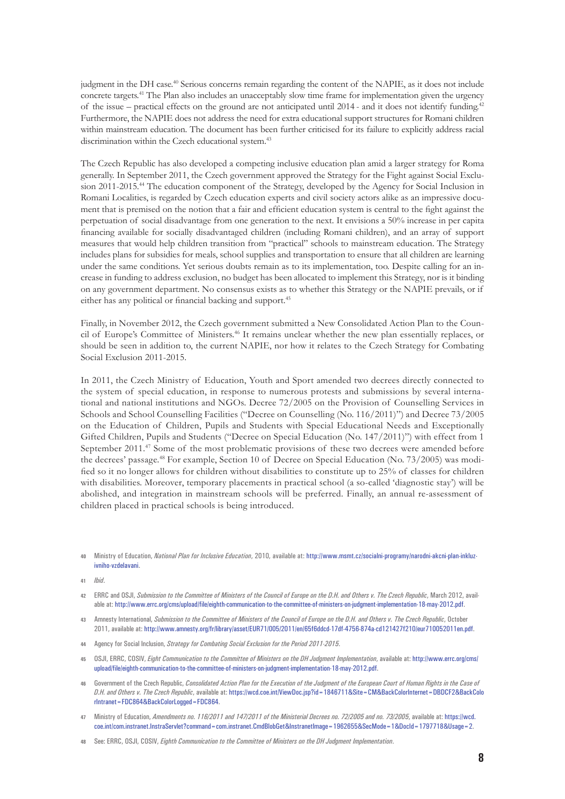judgment in the DH case.40 Serious concerns remain regarding the content of the NAPIE, as it does not include concrete targets.41 The Plan also includes an unacceptably slow time frame for implementation given the urgency of the issue – practical effects on the ground are not anticipated until 2014 - and it does not identify funding.42 Furthermore, the NAPIE does not address the need for extra educational support structures for Romani children within mainstream education. The document has been further criticised for its failure to explicitly address racial discrimination within the Czech educational system.<sup>43</sup>

The Czech Republic has also developed a competing inclusive education plan amid a larger strategy for Roma generally. In September 2011, the Czech government approved the Strategy for the Fight against Social Exclusion 2011-2015.<sup>44</sup> The education component of the Strategy, developed by the Agency for Social Inclusion in Romani Localities, is regarded by Czech education experts and civil society actors alike as an impressive document that is premised on the notion that a fair and efficient education system is central to the fight against the perpetuation of social disadvantage from one generation to the next. It envisions a 50% increase in per capita financing available for socially disadvantaged children (including Romani children), and an array of support measures that would help children transition from "practical" schools to mainstream education. The Strategy includes plans for subsidies for meals, school supplies and transportation to ensure that all children are learning under the same conditions. Yet serious doubts remain as to its implementation, too. Despite calling for an increase in funding to address exclusion, no budget has been allocated to implement this Strategy, nor is it binding on any government department. No consensus exists as to whether this Strategy or the NAPIE prevails, or if either has any political or financial backing and support.<sup>45</sup>

Finally, in November 2012, the Czech government submitted a New Consolidated Action Plan to the Council of Europe's Committee of Ministers.46 It remains unclear whether the new plan essentially replaces, or should be seen in addition to, the current NAPIE, nor how it relates to the Czech Strategy for Combating Social Exclusion 2011-2015.

In 2011, the Czech Ministry of Education, Youth and Sport amended two decrees directly connected to the system of special education, in response to numerous protests and submissions by several international and national institutions and NGOs. Decree 72/2005 on the Provision of Counselling Services in Schools and School Counselling Facilities ("Decree on Counselling (No. 116/2011)") and Decree 73/2005 on the Education of Children, Pupils and Students with Special Educational Needs and Exceptionally Gifted Children, Pupils and Students ("Decree on Special Education (No. 147/2011)") with effect from 1 September 2011.<sup>47</sup> Some of the most problematic provisions of these two decrees were amended before the decrees' passage.48 For example, Section 10 of Decree on Special Education (No. 73/2005) was modified so it no longer allows for children without disabilities to constitute up to 25% of classes for children with disabilities. Moreover, temporary placements in practical school (a so-called 'diagnostic stay') will be abolished, and integration in mainstream schools will be preferred. Finally, an annual re-assessment of children placed in practical schools is being introduced.

- **41** *Ibid*.
- **42** ERRC and OSJI, *Submission to the Committee of Ministers of the Council of Europe on the D.H. and Others v. The Czech Republic*, March 2012, available at: [http://www.errc.org/cms/upload/file/eighth-communication-to-the-committee-of-ministers-on-judgment-implementation-18-may-2012.pdf.](http://www.errc.org/cms/upload/file/eighth-communication-to-the-committee-of-ministers-on-judgment-implementation-18-may-2012.pdf)
- **43** Amnesty International, *Submission to the Committee of Ministers of the Council of Europe on the D.H. and Others v. The Czech Republic*, October 2011, available at: [http://www.amnesty.org/fr/library/asset/EUR71/005/2011/en/65f6ddcd-17df-4756-874a-cd121427f210/eur710052011en.pdf.](http://www.amnesty.org/fr/library/asset/EUR71/005/2011/en/65f6ddcd-17df-4756-874a-cd121427f210/eur710052011en.pdf)
- **44** Agency for Social Inclusion, *Strategy for Combating Social Exclusion for the Period 2011-2015*.
- **45** OSJI, ERRC, COSIV, *Eight Communication to the Committee of Ministers on the DH Judgment Implementation*, available at: [http://www.errc.org/cms/](http://www.errc.org/cms/upload/file/eighth-communication-to-the-committee-of-ministers-on-judgment-implementation-18-may-2012.pdf) [upload/file/eighth-communication-to-the-committee-of-ministers-on-judgment-implementation-18-may-2012.pdf](http://www.errc.org/cms/upload/file/eighth-communication-to-the-committee-of-ministers-on-judgment-implementation-18-may-2012.pdf).
- **46** Government of the Czech Republic, *Consolidated Action Plan for the Execution of the Judgment of the European Court of Human Rights in the Case of D.H. and Others v. The Czech Republic*, available at: [https://wcd.coe.int/ViewDoc.jsp?id=1846711&Site=CM&BackColorInternet=DBDCF2&BackColo](https://wcd.coe.int/ViewDoc.jsp?id=1846711&Site=CM&BackColorInternet=DBDCF2&BackColorIntranet=FDC864&BackColorLogged=FDC864) [rIntranet=FDC864&BackColorLogged=FDC864](https://wcd.coe.int/ViewDoc.jsp?id=1846711&Site=CM&BackColorInternet=DBDCF2&BackColorIntranet=FDC864&BackColorLogged=FDC864).
- **47** Ministry of Education, *Amendments no. 116/2011 and 147/2011 of the Ministerial Decrees no. 72/2005 and no. 73/2005*, available at: [https://wcd.](https://wcd.coe.int/com.instranet.InstraServlet?command=com.instranet.CmdBlobGet&InstranetImage=1962655&SecMode=1&DocId=1797718&Usage=2) [coe.int/com.instranet.InstraServlet?command=com.instranet.CmdBlobGet&InstranetImage=1962655&SecMode=1&DocId=1797718&Usage=2.](https://wcd.coe.int/com.instranet.InstraServlet?command=com.instranet.CmdBlobGet&InstranetImage=1962655&SecMode=1&DocId=1797718&Usage=2)
- **48** See: ERRC, OSJI, COSIV, *Eighth Communication to the Committee of Ministers on the DH Judgment Implementation*.

**<sup>40</sup>** Ministry of Education, *National Plan for Inclusive Education*, 2010, available at: [http://www.msmt.cz/socialni-programy/narodni-akcni-plan-inkluz](http://www.msmt.cz/socialni-programy/narodni-akcni-plan-inkluzivniho-vzdelavani)[ivniho-vzdelavani](http://www.msmt.cz/socialni-programy/narodni-akcni-plan-inkluzivniho-vzdelavani).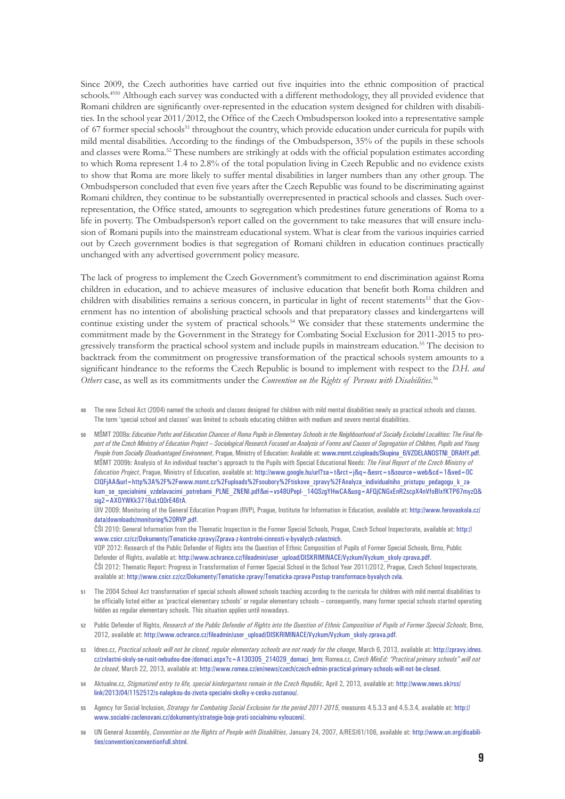Since 2009, the Czech authorities have carried out five inquiries into the ethnic composition of practical schools.<sup>4950</sup> Although each survey was conducted with a different methodology, they all provided evidence that Romani children are significantly over-represented in the education system designed for children with disabilities. In the school year 2011/2012, the Office of the Czech Ombudsperson looked into a representative sample of 67 former special schools<sup>51</sup> throughout the country, which provide education under curricula for pupils with mild mental disabilities. According to the findings of the Ombudsperson, 35% of the pupils in these schools and classes were Roma.52 These numbers are strikingly at odds with the official population estimates according to which Roma represent 1.4 to 2.8% of the total population living in Czech Republic and no evidence exists to show that Roma are more likely to suffer mental disabilities in larger numbers than any other group. The Ombudsperson concluded that even five years after the Czech Republic was found to be discriminating against Romani children, they continue to be substantially overrepresented in practical schools and classes. Such overrepresentation, the Office stated, amounts to segregation which predestines future generations of Roma to a life in poverty. The Ombudsperson's report called on the government to take measures that will ensure inclusion of Romani pupils into the mainstream educational system. What is clear from the various inquiries carried out by Czech government bodies is that segregation of Romani children in education continues practically unchanged with any advertised government policy measure.

The lack of progress to implement the Czech Government's commitment to end discrimination against Roma children in education, and to achieve measures of inclusive education that benefit both Roma children and children with disabilities remains a serious concern, in particular in light of recent statements<sup>53</sup> that the Government has no intention of abolishing practical schools and that preparatory classes and kindergartens will continue existing under the system of practical schools.<sup>54</sup> We consider that these statements undermine the commitment made by the Government in the Strategy for Combating Social Exclusion for 2011-2015 to progressively transform the practical school system and include pupils in mainstream education.55 The decision to backtrack from the commitment on progressive transformation of the practical schools system amounts to a significant hindrance to the reforms the Czech Republic is bound to implement with respect to the *D.H. and Others* case, as well as its commitments under the *Convention on the Rights of Persons with Disabilities*. 56

**49** The new School Act (2004) named the schools and classes designed for children with mild mental disabilities newly as practical schools and classes. The term 'special school and classes' was limited to schools educating children with medium and severe mental disabilities.

**50** MŠMT 2009a: *Education Paths and Education Chances of Roma Pupils in Elementary Schools in the Neighbourhood of Socially Excluded Localities: The Final Report of the Czech Ministry of Education Project – Sociological Research Focused on Analysis of Forms and Causes of Segregation of Children, Pupils and Young*  People from Socially Disadvantaged Environment, Prague, Ministry of Education: Available at: [www.msmt.cz/uploads/Skupina\\_6/VZDELANOSTNI\\_DRAHY.pdf.](http://www.msmt.cz/uploads/Skupina_6/VZDELANOSTNI_DRAHY.pdf) MŠMT 2009b: Analysis of An individual teacher's approach to the Pupils with Special Educational Needs: *The Final Report of the Czech Ministry of Education Project*, Prague, Ministry of Education, available at: [http://www.google.hu/url?sa=t&rct=j&q=&esrc=s&source=web&cd=1&ved=0C](http://www.google.hu/url?sa=t&rct=j&q=&esrc=s&source=web&cd=1&ved=0CCIQFjAA&url=http%3A%2F%2Fwww.msmt.cz%2Fuploads%2Fsoubory%2Ftiskove_zpravy%2FAnalyza_individualniho_pristupu_pedagogu_k_zakum_se_specialnimi_vzdelavacimi_potrebami_PLNE_ZNENI.pdf&ei=vs48UPepI-_14QSzgYHwCA&usg=AFQjCNGxEnR2scpX4nVfoBIxfKTP67myzQ&sig2=AXOYWKk3716uLtQ0rE46tA) [CIQFjAA&url=http%3A%2F%2Fwww.msmt.cz%2Fuploads%2Fsoubory%2Ftiskove\\_zpravy%2FAnalyza\\_individualniho\\_pristupu\\_pedagogu\\_k\\_za](http://www.google.hu/url?sa=t&rct=j&q=&esrc=s&source=web&cd=1&ved=0CCIQFjAA&url=http%3A%2F%2Fwww.msmt.cz%2Fuploads%2Fsoubory%2Ftiskove_zpravy%2FAnalyza_individualniho_pristupu_pedagogu_k_zakum_se_specialnimi_vzdelavacimi_potrebami_PLNE_ZNENI.pdf&ei=vs48UPepI-_14QSzgYHwCA&usg=AFQjCNGxEnR2scpX4nVfoBIxfKTP67myzQ&sig2=AXOYWKk3716uLtQ0rE46tA)kum se specialnimi vzdelavacimi potrebami PLNE ZNENI.pdf&ei=vs48UPepl- 14QSzgYHwCA&usg=AFQjCNGxEnR2scpX4nVfoBIxfKTP67myzQ&  $sin2 = AXOYWKk3716ult00rFA6tA$ .

ÚIV 2009: Monitoring of the General Education Program (RVP), Prague, Institute for Information in Education, available at: [http://www.ferovaskola.cz/](http://www.ferovaskola.cz/data/downloads/monitoring RVP.pdf) [data/downloads/monitoring%20RVP.pdf](http://www.ferovaskola.cz/data/downloads/monitoring RVP.pdf).

ČŠI 2010: General Information from the Thematic Inspection in the Former Special Schools, Prague, Czech School Inspectorate, available at: [http://](http://www.csicr.cz/cz/Dokumenty/Tematicke-zpravy/Zprava-z-kontrolni-cinnosti-v-byvalych-zvlastnich) [www.csicr.cz/cz/Dokumenty/Tematicke-zpravy/Zprava-z-kontrolni-cinnosti-v-byvalych-zvlastnich.](http://www.csicr.cz/cz/Dokumenty/Tematicke-zpravy/Zprava-z-kontrolni-cinnosti-v-byvalych-zvlastnich)

VOP 2012: Research of the Public Defender of Rights into the Question of Ethnic Composition of Pupils of Former Special Schools, Brno, Public Defender of Rights, available at: [http://www.ochrance.cz/fileadmin/user\\_upload/DISKRIMINACE/Vyzkum/Vyzkum\\_skoly-zprava.pdf](http://www.ochrance.cz/fileadmin/user_upload/DISKRIMINACE/Vyzkum/Vyzkum_skoly-zprava.pdf). ČŠI 2012: Thematic Report: Progress in Transformation of Former Special School in the School Year 2011/2012, Prague, Czech School Inspectorate, available at: <http://www.csicr.cz/cz/Dokumenty/Tematicke-zpravy/Tematicka-zprava-Postup-transformace-byvalych-zvla>.

- **51** The 2004 School Act transformation of special schools allowed schools teaching according to the curricula for children with mild mental disabilities to be officially listed either as 'practical elementary schools' or regular elementary schools – consequently, many former special schools started operating hidden as regular elementary schools. This situation applies until nowadays.
- **52** Public Defender of Rights, *Research of the Public Defender of Rights into the Question of Ethnic Composition of Pupils of Former Special Schools*, Brno, 2012, available at: [http://www.ochrance.cz/fileadmin/user\\_upload/DISKRIMINACE/Vyzkum/Vyzkum\\_skoly-zprava.pdf.](http://www.ochrance.cz/fileadmin/user_upload/DISKRIMINACE/Vyzkum/Vyzkum_skoly-zprava.pdf)
- **53** Idnes.cz, *Practical schools will not be closed, regular elementary schools are not ready for the change*, March 6, 2013, available at: [http://zpravy.idnes.](http://zpravy.idnes.cz/zvlastni-skoly-se-rusit-nebudou-doe-/domaci.aspx?c=A130305_214029_domaci_brm) [cz/zvlastni-skoly-se-rusit-nebudou-doe-/domaci.aspx?c=A130305\\_214029\\_domaci\\_brm](http://zpravy.idnes.cz/zvlastni-skoly-se-rusit-nebudou-doe-/domaci.aspx?c=A130305_214029_domaci_brm); Romea.cz, *Czech MinEd: "Practical primary schools" will not be closed*, March 22, 2013, available at: <http://www.romea.cz/en/news/czech/czech-edmin-practical-primary-schools-will-not-be-closed>.
- **54** Aktualne.cz, *Stigmatized entry to life, special kindergartens remain in the Czech Republic*, April 2, 2013, available at: [http://www.news.sk/rss/](http://www.news.sk/rss/link/2013/04/1152512/s-nalepkou-do-zivota-specialni-skolky-v-cesku-zustanou/) [link/2013/04/1152512/s-nalepkou-do-zivota-specialni-skolky-v-cesku-zustanou/.](http://www.news.sk/rss/link/2013/04/1152512/s-nalepkou-do-zivota-specialni-skolky-v-cesku-zustanou/)
- **55** Agency for Social Inclusion, *Strategy for Combating Social Exclusion for the period 2011-2015*, measures 4.5.3.3 and 4.5.3.4, available at: [http://](http://www.socialni-zaclenovani.cz/dokumenty/strategie-boje-proti-socialnimu-vylouceni/) [www.socialni-zaclenovani.cz/dokumenty/strategie-boje-proti-socialnimu-vylouceni/.](http://www.socialni-zaclenovani.cz/dokumenty/strategie-boje-proti-socialnimu-vylouceni/)
- **56** UN General Assembly, *Convention on the Rights of People with Disabilities*, January 24, 2007, A/RES/61/106, available at: [http://www.un.org/disabili](http://www.un.org/disabilities/convention/conventionfull.shtml)[ties/convention/conventionfull.shtml.](http://www.un.org/disabilities/convention/conventionfull.shtml)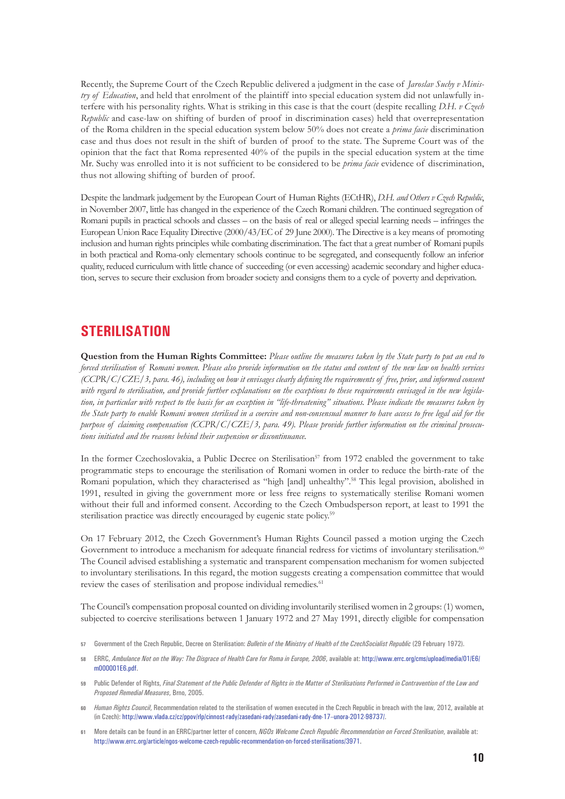Recently, the Supreme Court of the Czech Republic delivered a judgment in the case of *Jaroslav Suchy v Ministry of Education*, and held that enrolment of the plaintiff into special education system did not unlawfully interfere with his personality rights. What is striking in this case is that the court (despite recalling *D.H. v Czech Republic* and case-law on shifting of burden of proof in discrimination cases) held that overrepresentation of the Roma children in the special education system below 50% does not create a *prima facie* discrimination case and thus does not result in the shift of burden of proof to the state. The Supreme Court was of the opinion that the fact that Roma represented 40% of the pupils in the special education system at the time Mr. Suchy was enrolled into it is not sufficient to be considered to be *prima facie* evidence of discrimination, thus not allowing shifting of burden of proof.

Despite the landmark judgement by the European Court of Human Rights (ECtHR), *D.H. and Others v Czech Republic*, in November 2007, little has changed in the experience of the Czech Romani children. The continued segregation of Romani pupils in practical schools and classes – on the basis of real or alleged special learning needs – infringes the European Union Race Equality Directive (2000/43/EC of 29 June 2000). The Directive is a key means of promoting inclusion and human rights principles while combating discrimination. The fact that a great number of Romani pupils in both practical and Roma-only elementary schools continue to be segregated, and consequently follow an inferior quality, reduced curriculum with little chance of succeeding (or even accessing) academic secondary and higher education, serves to secure their exclusion from broader society and consigns them to a cycle of poverty and deprivation.

## **STERILISATION**

**Question from the Human Rights Committee:** *Please outline the measures taken by the State party to put an end to forced sterilisation of Romani women. Please also provide information on the status and content of the new law on health services (CCPR/C/CZE/3, para. 46), including on how it envisages clearly defining the requirements of free, prior, and informed consent with regard to sterilisation, and provide further explanations on the exceptions to these requirements envisaged in the new legislation, in particular with respect to the basis for an exception in "life-threatening" situations. Please indicate the measures taken by the State party to enable Romani women sterilised in a coercive and non-consensual manner to have access to free legal aid for the purpose of claiming compensation (CCPR/C/CZE/3, para. 49). Please provide further information on the criminal prosecutions initiated and the reasons behind their suspension or discontinuance.* 

In the former Czechoslovakia, a Public Decree on Sterilisation<sup>57</sup> from 1972 enabled the government to take programmatic steps to encourage the sterilisation of Romani women in order to reduce the birth-rate of the Romani population, which they characterised as "high [and] unhealthy".<sup>58</sup> This legal provision, abolished in 1991, resulted in giving the government more or less free reigns to systematically sterilise Romani women without their full and informed consent. According to the Czech Ombudsperson report, at least to 1991 the sterilisation practice was directly encouraged by eugenic state policy.<sup>59</sup>

On 17 February 2012, the Czech Government's Human Rights Council passed a motion urging the Czech Government to introduce a mechanism for adequate financial redress for victims of involuntary sterilisation.<sup>60</sup> The Council advised establishing a systematic and transparent compensation mechanism for women subjected to involuntary sterilisations. In this regard, the motion suggests creating a compensation committee that would review the cases of sterilisation and propose individual remedies.<sup>61</sup>

The Council's compensation proposal counted on dividing involuntarily sterilised women in 2 groups: (1) women, subjected to coercive sterilisations between 1 January 1972 and 27 May 1991, directly eligible for compensation

- **57** Government of the Czech Republic, Decree on Sterilisation: *Bulletin of the Ministry of Health of the CzechSocialist Republic* (29 February 1972).
- **58** ERRC, *Ambulance Not on the Way: The Disgrace of Health Care for Roma in Europe, 2006*, available at: http://www.errc.org/cms/upload/media/01/E6/ m000001E6.pdf.
- **59** Public Defender of Rights, *Final Statement of the Public Defender of Rights in the Matter of Sterilisations Performed in Contravention of the Law and Proposed Remedial Measures*, Brno, 2005.
- **60** *Human Rights Council*, Recommendation related to the sterilisation of women executed in the Czech Republic in breach with the law, 2012, available at (in Czech): <http://www.vlada.cz/cz/ppov/rlp/cinnost-rady/zasedani-rady/zasedani-rady-dne-17--unora-2012-98737/>.
- **61** More details can be found in an ERRC/partner letter of concern, *NGOs Welcome Czech Republic Recommendation on Forced Sterilisation*, available at: http://www.errc.org/article/ngos-welcome-czech-republic-recommendation-on-forced-sterilisations/3971.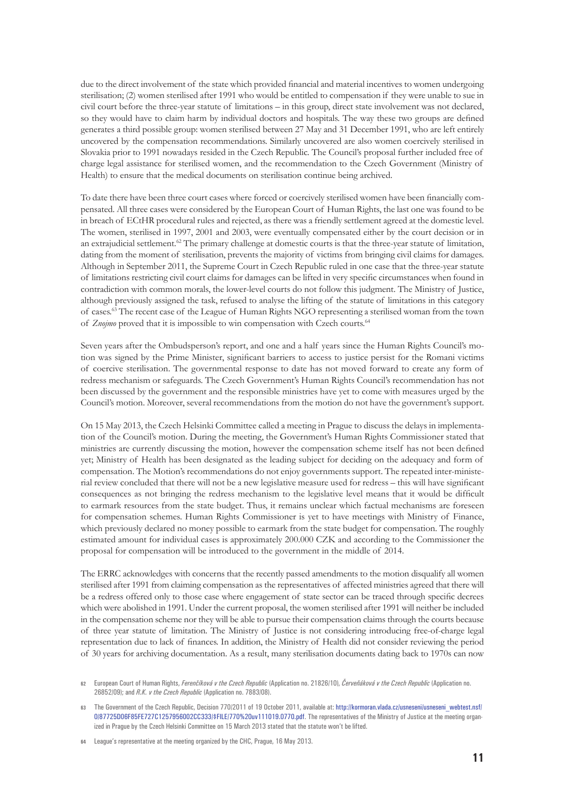due to the direct involvement of the state which provided financial and material incentives to women undergoing sterilisation; (2) women sterilised after 1991 who would be entitled to compensation if they were unable to sue in civil court before the three-year statute of limitations – in this group, direct state involvement was not declared, so they would have to claim harm by individual doctors and hospitals. The way these two groups are defined generates a third possible group: women sterilised between 27 May and 31 December 1991, who are left entirely uncovered by the compensation recommendations. Similarly uncovered are also women coercively sterilised in Slovakia prior to 1991 nowadays resided in the Czech Republic. The Council's proposal further included free of charge legal assistance for sterilised women, and the recommendation to the Czech Government (Ministry of Health) to ensure that the medical documents on sterilisation continue being archived.

To date there have been three court cases where forced or coercively sterilised women have been financially compensated. All three cases were considered by the European Court of Human Rights, the last one was found to be in breach of ECtHR procedural rules and rejected, as there was a friendly settlement agreed at the domestic level. The women, sterilised in 1997, 2001 and 2003, were eventually compensated either by the court decision or in an extrajudicial settlement.<sup>62</sup> The primary challenge at domestic courts is that the three-year statute of limitation, dating from the moment of sterilisation, prevents the majority of victims from bringing civil claims for damages. Although in September 2011, the Supreme Court in Czech Republic ruled in one case that the three-year statute of limitations restricting civil court claims for damages can be lifted in very specific circumstances when found in contradiction with common morals, the lower-level courts do not follow this judgment. The Ministry of Justice, although previously assigned the task, refused to analyse the lifting of the statute of limitations in this category of cases.63 The recent case of the League of Human Rights NGO representing a sterilised woman from the town of *Znojmo* proved that it is impossible to win compensation with Czech courts.<sup>64</sup>

Seven years after the Ombudsperson's report, and one and a half years since the Human Rights Council's motion was signed by the Prime Minister, significant barriers to access to justice persist for the Romani victims of coercive sterilisation. The governmental response to date has not moved forward to create any form of redress mechanism or safeguards. The Czech Government's Human Rights Council's recommendation has not been discussed by the government and the responsible ministries have yet to come with measures urged by the Council's motion. Moreover, several recommendations from the motion do not have the government's support.

On 15 May 2013, the Czech Helsinki Committee called a meeting in Prague to discuss the delays in implementation of the Council's motion. During the meeting, the Government's Human Rights Commissioner stated that ministries are currently discussing the motion, however the compensation scheme itself has not been defined yet; Ministry of Health has been designated as the leading subject for deciding on the adequacy and form of compensation. The Motion's recommendations do not enjoy governments support. The repeated inter-ministerial review concluded that there will not be a new legislative measure used for redress – this will have significant consequences as not bringing the redress mechanism to the legislative level means that it would be difficult to earmark resources from the state budget. Thus, it remains unclear which factual mechanisms are foreseen for compensation schemes. Human Rights Commissioner is yet to have meetings with Ministry of Finance, which previously declared no money possible to earmark from the state budget for compensation. The roughly estimated amount for individual cases is approximately 200.000 CZK and according to the Commissioner the proposal for compensation will be introduced to the government in the middle of 2014.

The ERRC acknowledges with concerns that the recently passed amendments to the motion disqualify all women sterilised after 1991 from claiming compensation as the representatives of affected ministries agreed that there will be a redress offered only to those case where engagement of state sector can be traced through specific decrees which were abolished in 1991. Under the current proposal, the women sterilised after 1991 will neither be included in the compensation scheme nor they will be able to pursue their compensation claims through the courts because of three year statute of limitation. The Ministry of Justice is not considering introducing free-of-charge legal representation due to lack of finances. In addition, the Ministry of Health did not consider reviewing the period of 30 years for archiving documentation. As a result, many sterilisation documents dating back to 1970s can now

**64** League's representative at the meeting organized by the CHC, Prague, 16 May 2013.

**<sup>62</sup>** European Court of Human Rights, *Ferenčíková v the Czech Republic* (Application no. 21826/10), *Červeňáková v the Czech Republic* (Application no. 26852/09); and *R.K. v the Czech Republic* (Application no. 7883/08).

The Government of the Czech Republic, Decision 770/2011 of 19 October 2011, available at: [http://kormoran.vlada.cz/usneseni/usneseni\\_webtest.nsf/](http://kormoran.vlada.cz/usneseni/usneseni_webtest.nsf/0/87725D06F85FE727C1257956002CC333/$FILE/770 uv111019.0770.pdf) [0/87725D06F85FE727C1257956002CC333/\\$FILE/770%20uv111019.0770.pdf.](http://kormoran.vlada.cz/usneseni/usneseni_webtest.nsf/0/87725D06F85FE727C1257956002CC333/$FILE/770 uv111019.0770.pdf) The representatives of the Ministry of Justice at the meeting organized in Prague by the Czech Helsinki Committee on 15 March 2013 stated that the statute won't be lifted.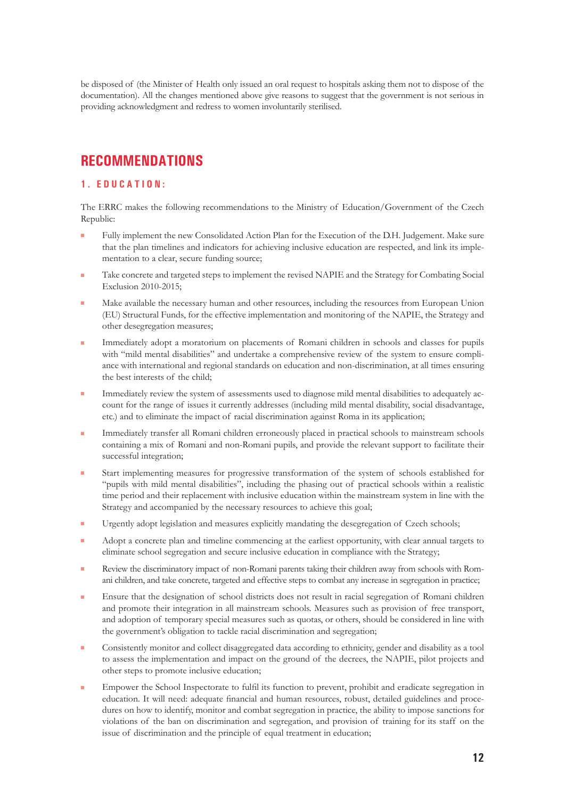be disposed of (the Minister of Health only issued an oral request to hospitals asking them not to dispose of the documentation). All the changes mentioned above give reasons to suggest that the government is not serious in providing acknowledgment and redress to women involuntarily sterilised.

## **RECOMMENDATIONS**

#### **1 . Educ a t i o n :**

The ERRC makes the following recommendations to the Ministry of Education/Government of the Czech Republic:

- Fully implement the new Consolidated Action Plan for the Execution of the D.H. Judgement. Make sure that the plan timelines and indicators for achieving inclusive education are respected, and link its implementation to a clear, secure funding source;
- Take concrete and targeted steps to implement the revised NAPIE and the Strategy for Combating Social Exclusion 2010-2015;
- Make available the necessary human and other resources, including the resources from European Union (EU) Structural Funds, for the effective implementation and monitoring of the NAPIE, the Strategy and other desegregation measures;
- Immediately adopt a moratorium on placements of Romani children in schools and classes for pupils with "mild mental disabilities" and undertake a comprehensive review of the system to ensure compliance with international and regional standards on education and non-discrimination, at all times ensuring the best interests of the child;
- Immediately review the system of assessments used to diagnose mild mental disabilities to adequately account for the range of issues it currently addresses (including mild mental disability, social disadvantage, etc.) and to eliminate the impact of racial discrimination against Roma in its application;
- **Immediately transfer all Romani children erroneously placed in practical schools to mainstream schools** containing a mix of Romani and non-Romani pupils, and provide the relevant support to facilitate their successful integration;
- <sup>Q</sup> Start implementing measures for progressive transformation of the system of schools established for "pupils with mild mental disabilities", including the phasing out of practical schools within a realistic time period and their replacement with inclusive education within the mainstream system in line with the Strategy and accompanied by the necessary resources to achieve this goal;
- **Urgently adopt legislation and measures explicitly mandating the desegregation of Czech schools;**
- Adopt a concrete plan and timeline commencing at the earliest opportunity, with clear annual targets to eliminate school segregation and secure inclusive education in compliance with the Strategy;
- Review the discriminatory impact of non-Romani parents taking their children away from schools with Romani children, and take concrete, targeted and effective steps to combat any increase in segregation in practice;
- Ensure that the designation of school districts does not result in racial segregation of Romani children and promote their integration in all mainstream schools. Measures such as provision of free transport, and adoption of temporary special measures such as quotas, or others, should be considered in line with the government's obligation to tackle racial discrimination and segregation;
- Consistently monitor and collect disaggregated data according to ethnicity, gender and disability as a tool to assess the implementation and impact on the ground of the decrees, the NAPIE, pilot projects and other steps to promote inclusive education;
- Empower the School Inspectorate to fulfil its function to prevent, prohibit and eradicate segregation in education. It will need: adequate financial and human resources, robust, detailed guidelines and procedures on how to identify, monitor and combat segregation in practice, the ability to impose sanctions for violations of the ban on discrimination and segregation, and provision of training for its staff on the issue of discrimination and the principle of equal treatment in education;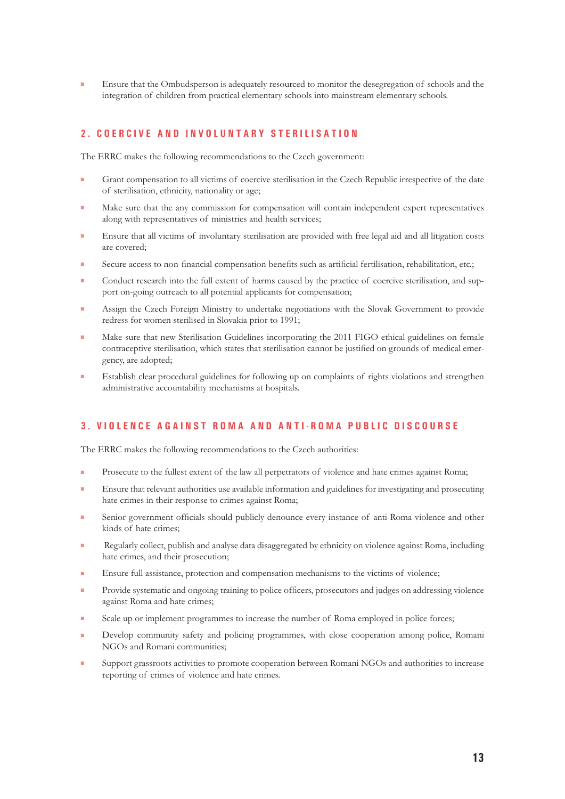Ensure that the Ombudsperson is adequately resourced to monitor the desegregation of schools and the integration of children from practical elementary schools into mainstream elementary schools.

#### **2 . C o e r c i v e a n d i n v o l u n t a r y s t e r i l i s a t i o n**

The ERRC makes the following recommendations to the Czech government:

- Grant compensation to all victims of coercive sterilisation in the Czech Republic irrespective of the date of sterilisation, ethnicity, nationality or age;
- Make sure that the any commission for compensation will contain independent expert representatives along with representatives of ministries and health services;
- **Ensure that all victims of involuntary sterilisation are provided with free legal aid and all litigation costs** are covered;
- Secure access to non-financial compensation benefits such as artificial fertilisation, rehabilitation, etc.;
- Conduct research into the full extent of harms caused by the practice of coercive sterilisation, and support on-going outreach to all potential applicants for compensation;
- Assign the Czech Foreign Ministry to undertake negotiations with the Slovak Government to provide redress for women sterilised in Slovakia prior to 1991;
- Make sure that new Sterilisation Guidelines incorporating the 2011 FIGO ethical guidelines on female contraceptive sterilisation, which states that sterilisation cannot be justified on grounds of medical emergency, are adopted;
- **Establish clear procedural guidelines for following up on complaints of rights violations and strengthen** administrative accountability mechanisms at hospitals.

#### **3 . V i o l e n c e a g a i n s t R o m a a n d a n t i - R o m a p u b l i c d i s c o u r s e**

The ERRC makes the following recommendations to the Czech authorities:

- **Prosecute to the fullest extent of the law all perpetrators of violence and hate crimes against Roma;**
- **Ensure that relevant authorities use available information and guidelines for investigating and prosecuting** hate crimes in their response to crimes against Roma;
- Senior government officials should publicly denounce every instance of anti-Roma violence and other kinds of hate crimes;
- Regularly collect, publish and analyse data disaggregated by ethnicity on violence against Roma, including hate crimes, and their prosecution:
- **Ensure full assistance, protection and compensation mechanisms to the victims of violence;**
- **Provide systematic and ongoing training to police officers, prosecutors and judges on addressing violence** against Roma and hate crimes;
- Scale up or implement programmes to increase the number of Roma employed in police forces;
- Develop community safety and policing programmes, with close cooperation among police, Romani NGOs and Romani communities;
- Support grassroots activities to promote cooperation between Romani NGOs and authorities to increase reporting of crimes of violence and hate crimes.